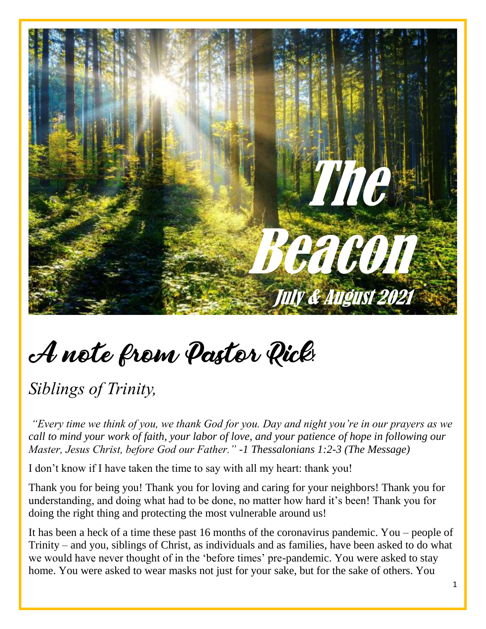

# A note from Pastor Rick!

*Siblings of Trinity,*

*"Every time we think of you, we thank God for you. Day and night you're in our prayers as we call to mind your work of faith, your labor of love, and your patience of hope in following our Master, Jesus Christ, before God our Father." -1 Thessalonians 1:2-3 (The Message)*

I don't know if I have taken the time to say with all my heart: thank you!

Thank you for being you! Thank you for loving and caring for your neighbors! Thank you for understanding, and doing what had to be done, no matter how hard it's been! Thank you for doing the right thing and protecting the most vulnerable around us!

It has been a heck of a time these past 16 months of the coronavirus pandemic. You – people of Trinity – and you, siblings of Christ, as individuals and as families, have been asked to do what we would have never thought of in the 'before times' pre-pandemic. You were asked to stay home. You were asked to wear masks not just for your sake, but for the sake of others. You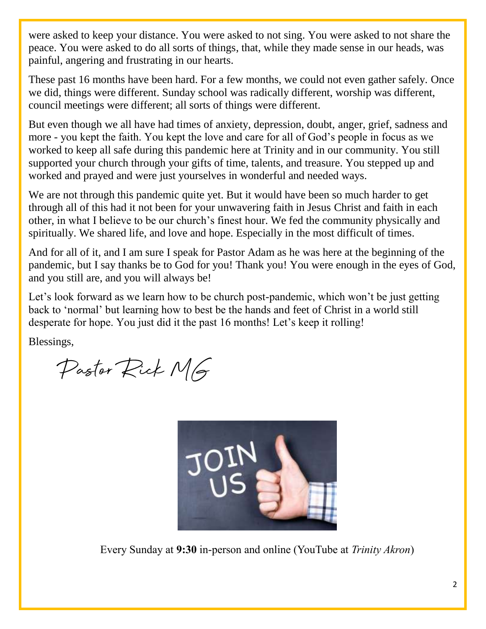were asked to keep your distance. You were asked to not sing. You were asked to not share the peace. You were asked to do all sorts of things, that, while they made sense in our heads, was painful, angering and frustrating in our hearts.

These past 16 months have been hard. For a few months, we could not even gather safely. Once we did, things were different. Sunday school was radically different, worship was different, council meetings were different; all sorts of things were different.

But even though we all have had times of anxiety, depression, doubt, anger, grief, sadness and more - you kept the faith. You kept the love and care for all of God's people in focus as we worked to keep all safe during this pandemic here at Trinity and in our community. You still supported your church through your gifts of time, talents, and treasure. You stepped up and worked and prayed and were just yourselves in wonderful and needed ways.

We are not through this pandemic quite yet. But it would have been so much harder to get through all of this had it not been for your unwavering faith in Jesus Christ and faith in each other, in what I believe to be our church's finest hour. We fed the community physically and spiritually. We shared life, and love and hope. Especially in the most difficult of times.

And for all of it, and I am sure I speak for Pastor Adam as he was here at the beginning of the pandemic, but I say thanks be to God for you! Thank you! You were enough in the eyes of God, and you still are, and you will always be!

Let's look forward as we learn how to be church post-pandemic, which won't be just getting back to 'normal' but learning how to best be the hands and feet of Christ in a world still desperate for hope. You just did it the past 16 months! Let's keep it rolling!

Blessings,

Pastor Rick MG



Every Sunday at **9:30** in-person and online (YouTube at *Trinity Akron*)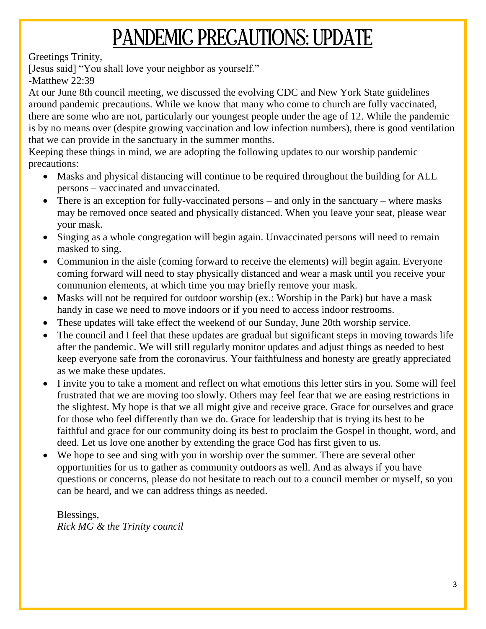# PANDEMIC PRECAUTIONS: UPDATE

Greetings Trinity,

[Jesus said] "You shall love your neighbor as yourself."

-Matthew 22:39

At our June 8th council meeting, we discussed the evolving CDC and New York State guidelines around pandemic precautions. While we know that many who come to church are fully vaccinated, there are some who are not, particularly our youngest people under the age of 12. While the pandemic is by no means over (despite growing vaccination and low infection numbers), there is good ventilation that we can provide in the sanctuary in the summer months.

Keeping these things in mind, we are adopting the following updates to our worship pandemic precautions:

- Masks and physical distancing will continue to be required throughout the building for ALL persons – vaccinated and unvaccinated.
- There is an exception for fully-vaccinated persons and only in the sanctuary where masks may be removed once seated and physically distanced. When you leave your seat, please wear your mask.
- Singing as a whole congregation will begin again. Unvaccinated persons will need to remain masked to sing.
- Communion in the aisle (coming forward to receive the elements) will begin again. Everyone coming forward will need to stay physically distanced and wear a mask until you receive your communion elements, at which time you may briefly remove your mask.
- Masks will not be required for outdoor worship (ex.: Worship in the Park) but have a mask handy in case we need to move indoors or if you need to access indoor restrooms.
- These updates will take effect the weekend of our Sunday, June 20th worship service.
- The council and I feel that these updates are gradual but significant steps in moving towards life after the pandemic. We will still regularly monitor updates and adjust things as needed to best keep everyone safe from the coronavirus. Your faithfulness and honesty are greatly appreciated as we make these updates.
- I invite you to take a moment and reflect on what emotions this letter stirs in you. Some will feel frustrated that we are moving too slowly. Others may feel fear that we are easing restrictions in the slightest. My hope is that we all might give and receive grace. Grace for ourselves and grace for those who feel differently than we do. Grace for leadership that is trying its best to be faithful and grace for our community doing its best to proclaim the Gospel in thought, word, and deed. Let us love one another by extending the grace God has first given to us.
- We hope to see and sing with you in worship over the summer. There are several other opportunities for us to gather as community outdoors as well. And as always if you have questions or concerns, please do not hesitate to reach out to a council member or myself, so you can be heard, and we can address things as needed.

Blessings, *Rick MG & the Trinity council*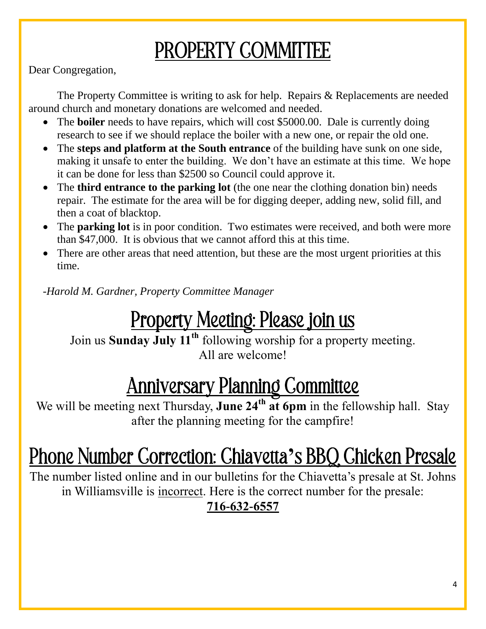# PROPERTY COMMITTEE

Dear Congregation,

The Property Committee is writing to ask for help. Repairs & Replacements are needed around church and monetary donations are welcomed and needed.

- The **boiler** needs to have repairs, which will cost \$5000.00. Dale is currently doing research to see if we should replace the boiler with a new one, or repair the old one.
- The **steps and platform at the South entrance** of the building have sunk on one side, making it unsafe to enter the building. We don't have an estimate at this time. We hope it can be done for less than \$2500 so Council could approve it.
- The **third entrance to the parking lot** (the one near the clothing donation bin) needs repair. The estimate for the area will be for digging deeper, adding new, solid fill, and then a coat of blacktop.
- The **parking lot** is in poor condition. Two estimates were received, and both were more than \$47,000. It is obvious that we cannot afford this at this time.
- There are other areas that need attention, but these are the most urgent priorities at this time.

-*Harold M. Gardner, Property Committee Manager*

#### Property Meeting: Please join us

Join us **Sunday July 11th** following worship for a property meeting. All are welcome!

#### Anniversary Planning Committee

We will be meeting next Thursday, **June 24<sup>th</sup> at 6pm** in the fellowship hall. Stay after the planning meeting for the campfire!

# Phone Number Correction: Chiavetta**'**s BBQ Chicken Presale

The number listed online and in our bulletins for the Chiavetta's presale at St. Johns in Williamsville is incorrect. Here is the correct number for the presale: **716-632-6557**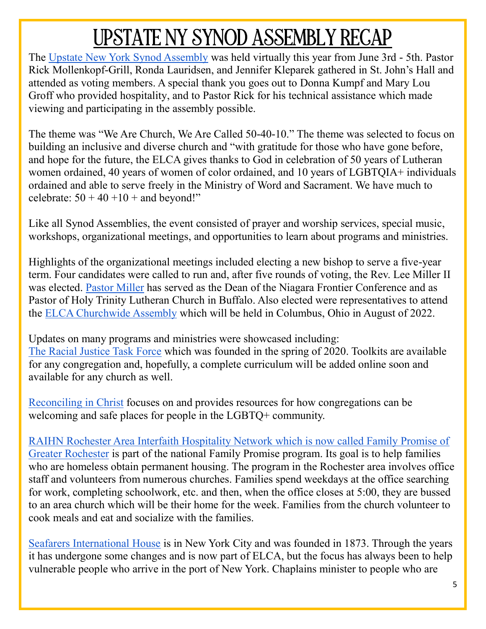# UPSTATE NY SYNOD ASSEMBLY RECAP

The Upstate New York Synod Assembly was held virtually this year from June 3rd - 5th. Pastor Rick Mollenkopf-Grill, Ronda Lauridsen, and Jennifer Kleparek gathered in St. John's Hall and attended as voting members. A special thank you goes out to Donna Kumpf and Mary Lou Groff who provided hospitality, and to Pastor Rick for his technical assistance which made viewing and participating in the assembly possible.

The theme was "We Are Church, We Are Called 50-40-10." The theme was selected to focus on building an inclusive and diverse church and "with gratitude for those who have gone before, and hope for the future, the ELCA gives thanks to God in celebration of 50 years of Lutheran women ordained, 40 years of women of color ordained, and 10 years of LGBTQIA+ individuals ordained and able to serve freely in the Ministry of Word and Sacrament. We have much to celebrate:  $50 + 40 + 10 +$  and beyond!"

Like all Synod Assemblies, the event consisted of prayer and worship services, special music, workshops, organizational meetings, and opportunities to learn about programs and ministries.

Highlights of the organizational meetings included electing a new bishop to serve a five-year term. Four candidates were called to run and, after five rounds of voting, the Rev. Lee Miller II was elected. Pastor Miller has served as the Dean of the Niagara Frontier Conference and as Pastor of Holy Trinity Lutheran Church in Buffalo. Also elected were representatives to attend the ELCA Churchwide Assembly which will be held in Columbus, Ohio in August of 2022.

Updates on many programs and ministries were showcased including: The Racial Justice Task Force which was founded in the spring of 2020. Toolkits are available for any congregation and, hopefully, a complete curriculum will be added online soon and available for any church as well.

Reconciling in Christ focuses on and provides resources for how congregations can be welcoming and safe places for people in the LGBTQ+ community.

RAIHN Rochester Area Interfaith Hospitality Network which is now called Family Promise of Greater Rochester is part of the national Family Promise program. Its goal is to help families who are homeless obtain permanent housing. The program in the Rochester area involves office staff and volunteers from numerous churches. Families spend weekdays at the office searching for work, completing schoolwork, etc. and then, when the office closes at 5:00, they are bussed to an area church which will be their home for the week. Families from the church volunteer to cook meals and eat and socialize with the families.

Seafarers International House is in New York City and was founded in 1873. Through the years it has undergone some changes and is now part of ELCA, but the focus has always been to help vulnerable people who arrive in the port of New York. Chaplains minister to people who are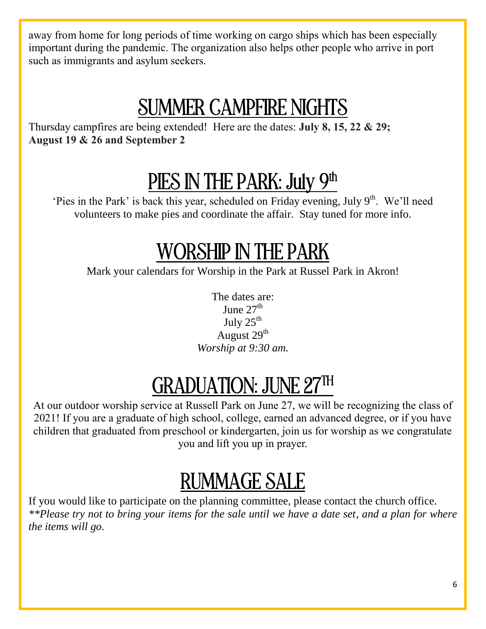away from home for long periods of time working on cargo ships which has been especially important during the pandemic. The organization also helps other people who arrive in port such as immigrants and asylum seekers.

### SUMMER CAMPFIRE NIGHTS

Thursday campfires are being extended! Here are the dates: **July 8, 15, 22 & 29; August 19 & 26 and September 2**

# PIES IN THE PARK: July 9th

'Pies in the Park' is back this year, scheduled on Friday evening, July  $9<sup>th</sup>$ . We'll need volunteers to make pies and coordinate the affair. Stay tuned for more info.

### WORSHIP IN THE PARK

Mark your calendars for Worship in the Park at Russel Park in Akron!

The dates are: June  $27<sup>th</sup>$ July  $25<sup>th</sup>$ August  $29<sup>th</sup>$ *Worship at 9:30 am.*

# GRADUATION: JUNE 27TH

At our outdoor worship service at Russell Park on June 27, we will be recognizing the class of 2021! If you are a graduate of high school, college, earned an advanced degree, or if you have children that graduated from preschool or kindergarten, join us for worship as we congratulate you and lift you up in prayer.

# RUMMAGE SALE

If you would like to participate on the planning committee, please contact the church office. *\*\*Please try not to bring your items for the sale until we have a date set, and a plan for where the items will go.*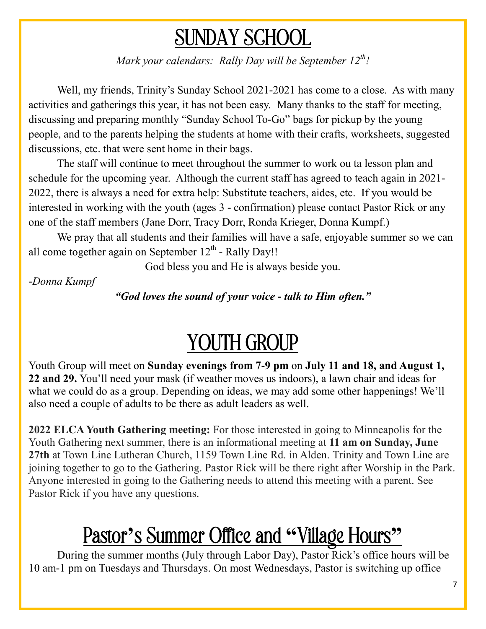### SUNDAY SCHOOL

*Mark your calendars: Rally Day will be September 12th!* 

Well, my friends, Trinity's Sunday School 2021-2021 has come to a close. As with many activities and gatherings this year, it has not been easy. Many thanks to the staff for meeting, discussing and preparing monthly "Sunday School To-Go" bags for pickup by the young people, and to the parents helping the students at home with their crafts, worksheets, suggested discussions, etc. that were sent home in their bags.

The staff will continue to meet throughout the summer to work ou ta lesson plan and schedule for the upcoming year. Although the current staff has agreed to teach again in 2021- 2022, there is always a need for extra help: Substitute teachers, aides, etc. If you would be interested in working with the youth (ages 3 - confirmation) please contact Pastor Rick or any one of the staff members (Jane Dorr, Tracy Dorr, Ronda Krieger, Donna Kumpf.)

We pray that all students and their families will have a safe, enjoyable summer so we can all come together again on September  $12^{th}$  - Rally Day!!

God bless you and He is always beside you.

*-Donna Kumpf*

*"God loves the sound of your voice - talk to Him often."*

### YOUTH GROUP

Youth Group will meet on **Sunday evenings from 7-9 pm** on **July 11 and 18, and August 1, 22 and 29.** You'll need your mask (if weather moves us indoors), a lawn chair and ideas for what we could do as a group. Depending on ideas, we may add some other happenings! We'll also need a couple of adults to be there as adult leaders as well.

**2022 ELCA Youth Gathering meeting:** For those interested in going to Minneapolis for the Youth Gathering next summer, there is an informational meeting at **11 am on Sunday, June 27th** at Town Line Lutheran Church, 1159 Town Line Rd. in Alden. Trinity and Town Line are joining together to go to the Gathering. Pastor Rick will be there right after Worship in the Park. Anyone interested in going to the Gathering needs to attend this meeting with a parent. See Pastor Rick if you have any questions.

### Pastor**'**s Summer Office and **"**Village Hours**"**

During the summer months (July through Labor Day), Pastor Rick's office hours will be 10 am-1 pm on Tuesdays and Thursdays. On most Wednesdays, Pastor is switching up office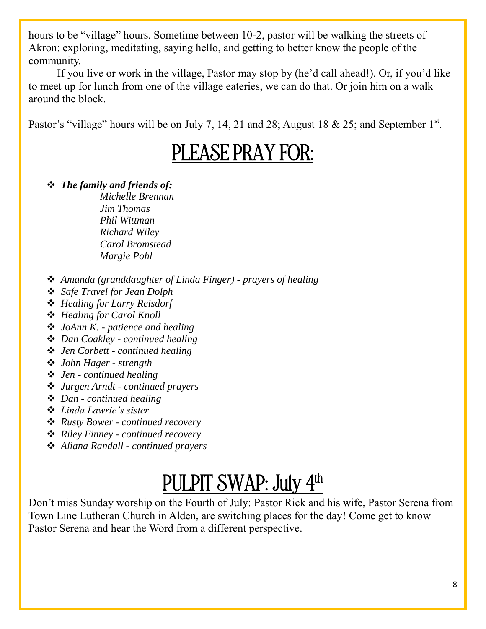hours to be "village" hours. Sometime between 10-2, pastor will be walking the streets of Akron: exploring, meditating, saying hello, and getting to better know the people of the community.

If you live or work in the village, Pastor may stop by (he'd call ahead!). Or, if you'd like to meet up for lunch from one of the village eateries, we can do that. Or join him on a walk around the block.

Pastor's "village" hours will be on  $\underline{July 7, 14, 21}$  and 28; August 18 & 25; and September  $1<sup>st</sup>$ .

#### PLEASE PRAY FOR:

*The family and friends of:* 

*Michelle Brennan Jim Thomas Phil Wittman Richard Wiley Carol Bromstead Margie Pohl*

- *Amanda (granddaughter of Linda Finger) - prayers of healing*
- *Safe Travel for Jean Dolph*
- *Healing for Larry Reisdorf*
- *Healing for Carol Knoll*
- *JoAnn K. - patience and healing*
- *Dan Coakley - continued healing*
- *Jen Corbett - continued healing*
- *John Hager - strength*
- *Jen - continued healing*
- *Jurgen Arndt - continued prayers*
- *Dan - continued healing*
- *Linda Lawrie's sister*
- *Rusty Bower - continued recovery*
- *Riley Finney - continued recovery*
- *Aliana Randall - continued prayers*

# PULPIT SWAP: July 4<sup>th</sup>

Don't miss Sunday worship on the Fourth of July: Pastor Rick and his wife, Pastor Serena from Town Line Lutheran Church in Alden, are switching places for the day! Come get to know Pastor Serena and hear the Word from a different perspective.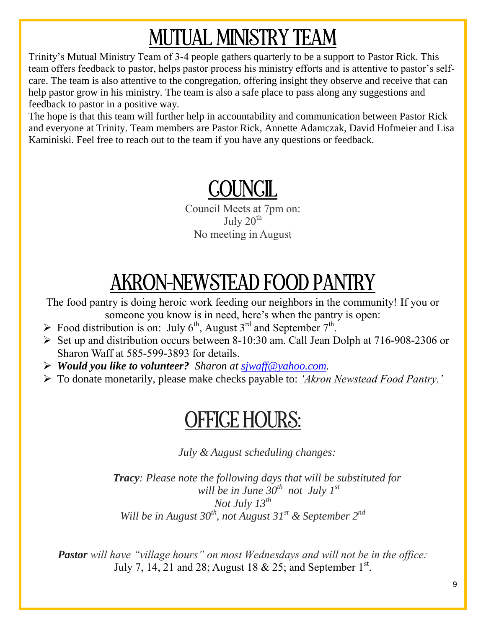# MUTUAL MINISTRY TEAM

Trinity's Mutual Ministry Team of 3-4 people gathers quarterly to be a support to Pastor Rick. This team offers feedback to pastor, helps pastor process his ministry efforts and is attentive to pastor's selfcare. The team is also attentive to the congregation, offering insight they observe and receive that can help pastor grow in his ministry. The team is also a safe place to pass along any suggestions and feedback to pastor in a positive way.

The hope is that this team will further help in accountability and communication between Pastor Rick and everyone at Trinity. Team members are Pastor Rick, Annette Adamczak, David Hofmeier and Lisa Kaminiski. Feel free to reach out to the team if you have any questions or feedback.

### COUNCIL

Council Meets at 7pm on: July  $20<sup>th</sup>$ No meeting in August

# AKRON-NEWSTEAD FOOD PANTRY

The food pantry is doing heroic work feeding our neighbors in the community! If you or someone you know is in need, here's when the pantry is open:

- $\triangleright$  Food distribution is on: July 6<sup>th</sup>, August 3<sup>rd</sup> and September 7<sup>th</sup>.
- $\triangleright$  Set up and distribution occurs between 8-10:30 am. Call Jean Dolph at 716-908-2306 or Sharon Waff at 585-599-3893 for details.
- *Would you like to volunteer? Sharon at sjwaff@yahoo.com.*
- To donate monetarily, please make checks payable to: *'Akron Newstead Food Pantry.'*

#### OFFICE HOURS:

*July & August scheduling changes:* 

*Tracy: Please note the following days that will be substituted for will be in June 30th not July 1st Not July 13th Will be in August 30th, not August 31st & September 2nd*

*Pastor will have "village hours" on most Wednesdays and will not be in the office:*  July 7, 14, 21 and 28; August 18 & 25; and September  $1^{st}$ .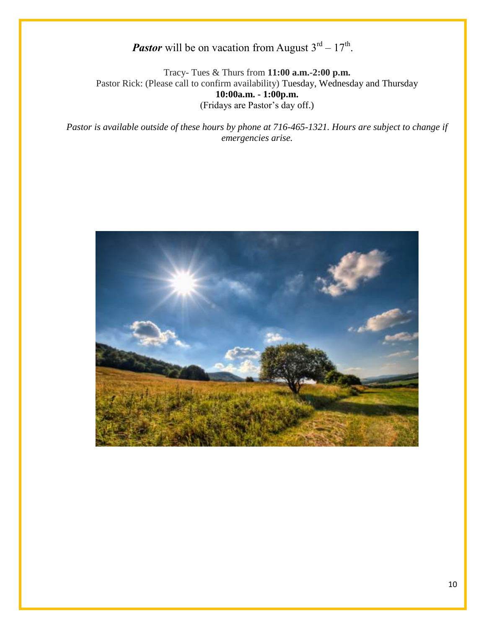#### **Pastor** will be on vacation from August  $3^{rd} - 17^{th}$ .

Tracy- Tues & Thurs from **11:00 a.m.-2:00 p.m.** Pastor Rick: (Please call to confirm availability) Tuesday, Wednesday and Thursday **10:00a.m. - 1:00p.m.** (Fridays are Pastor's day off.)

*Pastor is available outside of these hours by phone at 716-465-1321. Hours are subject to change if emergencies arise.* 

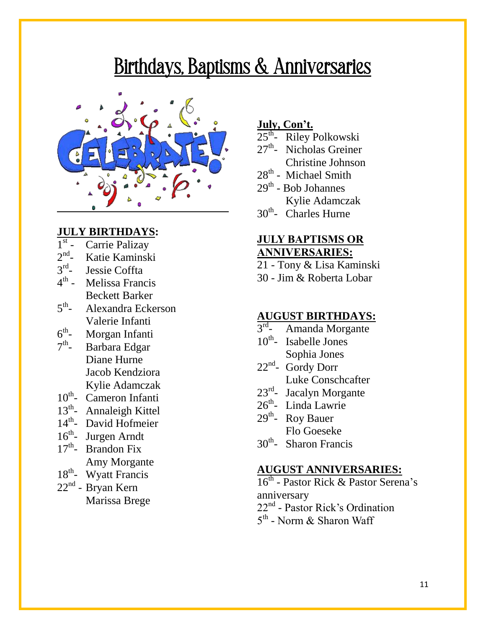#### Birthdays, Baptisms & Anniversaries



#### **JULY BIRTHDAYS:**

- $1<sup>st</sup>$ Carrie Palizay
- $2<sup>nd</sup>$ Katie Kaminski
- 3 rd Jessie Coffta
- 4<sup>th</sup> Melissa Francis Beckett Barker
- $5^{\text{th}}$ - Alexandra Eckerson Valerie Infanti
- $6^{\text{th}}$ Morgan Infanti
- $7<sup>th</sup>$ Barbara Edgar Diane Hurne Jacob Kendziora Kylie Adamczak
- 10<sup>th</sup>- Cameron Infanti
- 13<sup>th</sup>- Annaleigh Kittel
- 14<sup>th</sup>- David Hofmeier
- 16<sup>th</sup>- Jurgen Arndt
- $17<sup>th</sup>$  Brandon Fix Amy Morgante
- 18<sup>th</sup>- Wyatt Francis
- 22<sup>nd</sup> Bryan Kern Marissa Brege

#### **July, Con't.**

- 25<sup>th</sup>- Riley Polkowski
- 27<sup>th</sup>- Nicholas Greiner Christine Johnson
- 28<sup>th</sup> Michael Smith
- 29<sup>th</sup> Bob Johannes Kylie Adamczak
- 30<sup>th</sup>- Charles Hurne

#### **JULY BAPTISMS OR ANNIVERSARIES:**

- 21 Tony & Lisa Kaminski
- 30 Jim & Roberta Lobar

#### **AUGUST BIRTHDAYS:**

- 3 rd - Amanda Morgante
- 10<sup>th</sup>- Isabelle Jones Sophia Jones
- $22<sup>nd</sup>$  Gordy Dorr Luke Conschcafter
- 23<sup>rd</sup>- Jacalyn Morgante
- 26<sup>th</sup>- Linda Lawrie
- $29<sup>th</sup>$  Roy Bauer Flo Goeseke
- 30<sup>th</sup>- Sharon Francis

#### **AUGUST ANNIVERSARIES:**

- 16<sup>th</sup> Pastor Rick & Pastor Serena's anniversary
- 22<sup>nd</sup> Pastor Rick's Ordination
- 5<sup>th</sup> Norm & Sharon Waff